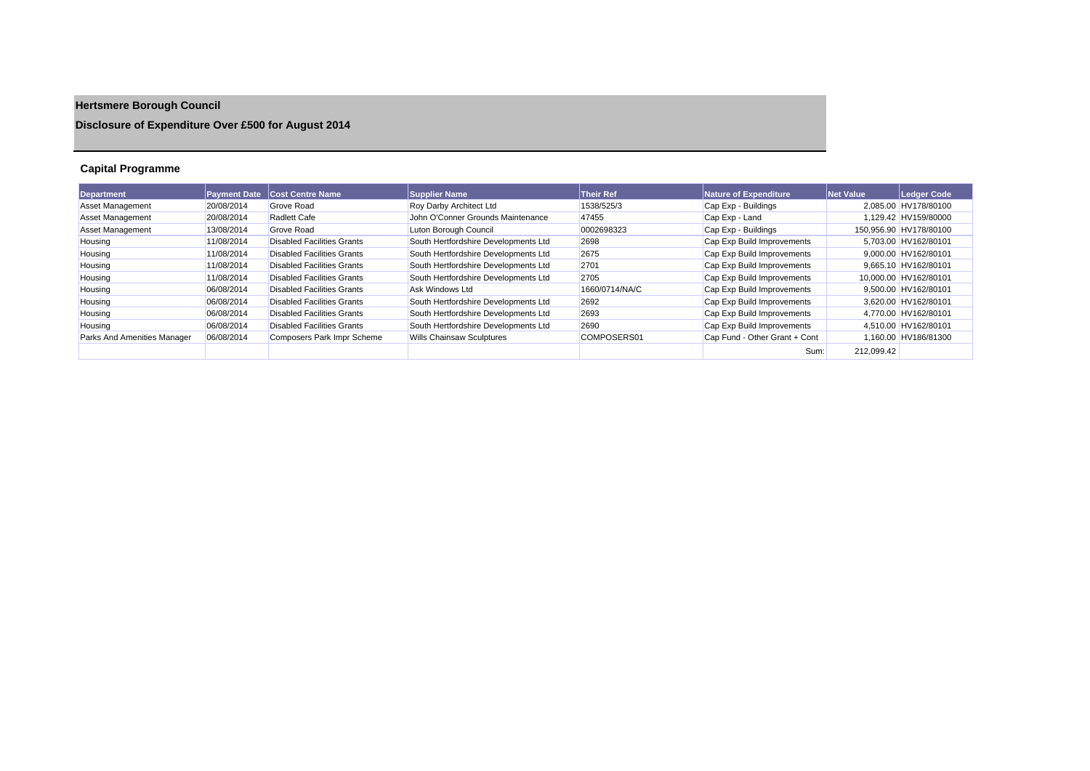# **Hertsmere Borough Council**

### **Disclosure of Expenditure Over £500 for August 2014**

### **Capital Programme**

| <b>Department</b>           | <b>Payment Date</b> | <b>Cost Centre Name</b>    | <b>Supplier Name</b>                 | <b>Their Ref</b> | Nature of Expenditure         | <b>Net Value</b> | Ledger Code            |
|-----------------------------|---------------------|----------------------------|--------------------------------------|------------------|-------------------------------|------------------|------------------------|
| <b>Asset Management</b>     | 20/08/2014          | <b>Grove Road</b>          | Roy Darby Architect Ltd              | 1538/525/3       | Cap Exp - Buildings           |                  | 2.085.00 HV178/80100   |
| <b>Asset Management</b>     | 20/08/2014          | Radlett Cafe               | John O'Conner Grounds Maintenance    | 47455            | Cap Exp - Land                |                  | 1.129.42 HV159/80000   |
| <b>Asset Management</b>     | 13/08/2014          | Grove Road                 | Luton Borough Council                | 0002698323       | Cap Exp - Buildings           |                  | 150.956.90 HV178/80100 |
| Housing                     | 11/08/2014          | Disabled Facilities Grants | South Hertfordshire Developments Ltd | 2698             | Cap Exp Build Improvements    |                  | 5.703.00 HV162/80101   |
| Housing                     | 11/08/2014          | Disabled Facilities Grants | South Hertfordshire Developments Ltd | 2675             | Cap Exp Build Improvements    |                  | 9,000.00 HV162/80101   |
| Housing                     | 11/08/2014          | Disabled Facilities Grants | South Hertfordshire Developments Ltd | 2701             | Cap Exp Build Improvements    |                  | 9,665.10 HV162/80101   |
| Housing                     | 11/08/2014          | Disabled Facilities Grants | South Hertfordshire Developments Ltd | 2705             | Cap Exp Build Improvements    |                  | 10.000.00 HV162/80101  |
| Housing                     | 06/08/2014          | Disabled Facilities Grants | Ask Windows Ltd                      | 1660/0714/NA/C   | Cap Exp Build Improvements    |                  | 9,500.00 HV162/80101   |
| Housing                     | 06/08/2014          | Disabled Facilities Grants | South Hertfordshire Developments Ltd | 2692             | Cap Exp Build Improvements    |                  | 3.620.00 HV162/80101   |
| Housing                     | 06/08/2014          | Disabled Facilities Grants | South Hertfordshire Developments Ltd | 2693             | Cap Exp Build Improvements    |                  | 4,770.00 HV162/80101   |
| Housing                     | 06/08/2014          | Disabled Facilities Grants | South Hertfordshire Developments Ltd | 2690             | Cap Exp Build Improvements    |                  | 4,510.00 HV162/80101   |
| Parks And Amenities Manager | 06/08/2014          | Composers Park Impr Scheme | Wills Chainsaw Sculptures            | COMPOSERS01      | Cap Fund - Other Grant + Cont |                  | 1,160.00 HV186/81300   |
|                             |                     |                            |                                      |                  | Sum:                          | 212,099.42       |                        |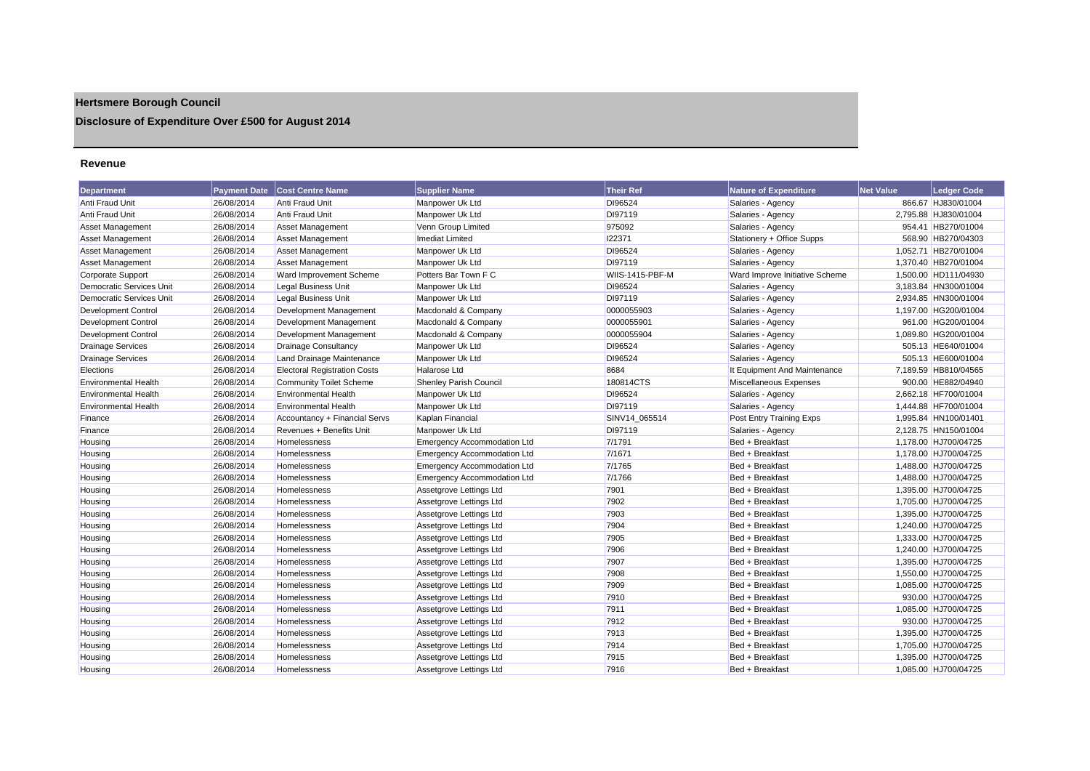## **Hertsmere Borough Council**

**Disclosure of Expenditure Over £500 for August 2014**

#### **Revenue**

| <b>Department</b>               | <b>Payment Date</b> | <b>Cost Centre Name</b>             | <b>Supplier Name</b>               | <b>Their Ref</b> | <b>Nature of Expenditure</b>   | <b>Net Value</b> | <b>Ledger Code</b>   |
|---------------------------------|---------------------|-------------------------------------|------------------------------------|------------------|--------------------------------|------------------|----------------------|
| Anti Fraud Unit                 | 26/08/2014          | <b>Anti Fraud Unit</b>              | Manpower Uk Ltd                    | DI96524          | Salaries - Agency              |                  | 866.67 HJ830/01004   |
| Anti Fraud Unit                 | 26/08/2014          | <b>Anti Fraud Unit</b>              | Manpower Uk Ltd                    | DI97119          | Salaries - Agency              |                  | 2,795.88 HJ830/01004 |
| Asset Management                | 26/08/2014          | <b>Asset Management</b>             | Venn Group Limited                 | 975092           | Salaries - Agency              |                  | 954.41 HB270/01004   |
| Asset Management                | 26/08/2014          | Asset Management                    | <b>Imediat Limited</b>             | 122371           | Stationery + Office Supps      |                  | 568.90 HB270/04303   |
| <b>Asset Management</b>         | 26/08/2014          | <b>Asset Management</b>             | Manpower Uk Ltd                    | DI96524          | Salaries - Agency              |                  | 1,052.71 HB270/01004 |
| Asset Management                | 26/08/2014          | <b>Asset Management</b>             | Manpower Uk Ltd                    | DI97119          | Salaries - Agency              |                  | 1.370.40 HB270/01004 |
| Corporate Support               | 26/08/2014          | Ward Improvement Scheme             | Potters Bar Town F C               | WIIS-1415-PBF-M  | Ward Improve Initiative Scheme |                  | 1,500.00 HD111/04930 |
| <b>Democratic Services Unit</b> | 26/08/2014          | <b>Legal Business Unit</b>          | Manpower Uk Ltd                    | DI96524          | Salaries - Agency              |                  | 3,183.84 HN300/01004 |
| <b>Democratic Services Unit</b> | 26/08/2014          | Legal Business Unit                 | Manpower Uk Ltd                    | DI97119          | Salaries - Agency              |                  | 2,934.85 HN300/01004 |
| Development Control             | 26/08/2014          | Development Management              | Macdonald & Company                | 0000055903       | Salaries - Agency              |                  | 1,197.00 HG200/01004 |
| Development Control             | 26/08/2014          | Development Management              | Macdonald & Company                | 0000055901       | Salaries - Agency              |                  | 961.00 HG200/01004   |
| Development Control             | 26/08/2014          | Development Management              | Macdonald & Company                | 0000055904       | Salaries - Agency              |                  | 1,089.80 HG200/01004 |
| <b>Drainage Services</b>        | 26/08/2014          | <b>Drainage Consultancy</b>         | Manpower Uk Ltd                    | DI96524          | Salaries - Agency              |                  | 505.13 HE640/01004   |
| <b>Drainage Services</b>        | 26/08/2014          | Land Drainage Maintenance           | Manpower Uk Ltd                    | DI96524          | Salaries - Agency              |                  | 505.13 HE600/01004   |
| Elections                       | 26/08/2014          | <b>Electoral Registration Costs</b> | <b>Halarose Ltd</b>                | 8684             | It Equipment And Maintenance   |                  | 7,189.59 HB810/04565 |
| <b>Environmental Health</b>     | 26/08/2014          | <b>Community Toilet Scheme</b>      | <b>Shenley Parish Council</b>      | 180814CTS        | Miscellaneous Expenses         |                  | 900.00 HE882/04940   |
| <b>Environmental Health</b>     | 26/08/2014          | <b>Environmental Health</b>         | Manpower Uk Ltd                    | DI96524          | Salaries - Agency              |                  | 2,662.18 HF700/01004 |
| <b>Environmental Health</b>     | 26/08/2014          | <b>Environmental Health</b>         | Manpower Uk Ltd                    | DI97119          | Salaries - Agency              |                  | 1,444.88 HF700/01004 |
| Finance                         | 26/08/2014          | Accountancy + Financial Servs       | Kaplan Financial                   | SINV14 065514    | Post Entry Training Exps       |                  | 1,995.84 HN100/01401 |
| Finance                         | 26/08/2014          | Revenues + Benefits Unit            | Manpower Uk Ltd                    | DI97119          | Salaries - Agency              |                  | 2.128.75 HN150/01004 |
| Housing                         | 26/08/2014          | Homelessness                        | <b>Emergency Accommodation Ltd</b> | 7/1791           | Bed + Breakfast                |                  | 1,178.00 HJ700/04725 |
| Housing                         | 26/08/2014          | Homelessness                        | <b>Emergency Accommodation Ltd</b> | 7/1671           | Bed + Breakfast                |                  | 1,178.00 HJ700/04725 |
| Housing                         | 26/08/2014          | Homelessness                        | <b>Emergency Accommodation Ltd</b> | 7/1765           | Bed + Breakfast                |                  | 1,488.00 HJ700/04725 |
| Housing                         | 26/08/2014          | Homelessness                        | <b>Emergency Accommodation Ltd</b> | 7/1766           | Bed + Breakfast                |                  | 1,488.00 HJ700/04725 |
| Housing                         | 26/08/2014          | <b>Homelessness</b>                 | Assetgrove Lettings Ltd            | 7901             | Bed + Breakfast                |                  | 1,395.00 HJ700/04725 |
| Housing                         | 26/08/2014          | Homelessness                        | Assetgrove Lettings Ltd            | 7902             | Bed + Breakfast                |                  | 1,705.00 HJ700/04725 |
| Housing                         | 26/08/2014          | <b>Homelessness</b>                 | Assetgrove Lettings Ltd            | 7903             | Bed + Breakfast                |                  | 1,395.00 HJ700/04725 |
| Housing                         | 26/08/2014          | Homelessness                        | Assetgrove Lettings Ltd            | 7904             | Bed + Breakfast                |                  | 1,240.00 HJ700/04725 |
| Housing                         | 26/08/2014          | Homelessness                        | Assetgrove Lettings Ltd            | 7905             | Bed + Breakfast                |                  | 1,333.00 HJ700/04725 |
| Housing                         | 26/08/2014          | <b>Homelessness</b>                 | Assetgrove Lettings Ltd            | 7906             | Bed + Breakfast                |                  | 1,240.00 HJ700/04725 |
| Housing                         | 26/08/2014          | Homelessness                        | Assetgrove Lettings Ltd            | 7907             | Bed + Breakfast                |                  | 1.395.00 HJ700/04725 |
| Housing                         | 26/08/2014          | Homelessness                        | Assetgrove Lettings Ltd            | 7908             | Bed + Breakfast                |                  | 1,550.00 HJ700/04725 |
| Housing                         | 26/08/2014          | Homelessness                        | Assetgrove Lettings Ltd            | 7909             | Bed + Breakfast                |                  | 1,085.00 HJ700/04725 |
| Housing                         | 26/08/2014          | <b>Homelessness</b>                 | Assetgrove Lettings Ltd            | 7910             | Bed + Breakfast                |                  | 930.00 HJ700/04725   |
| Housing                         | 26/08/2014          | <b>Homelessness</b>                 | Assetgrove Lettings Ltd            | 7911             | Bed + Breakfast                |                  | 1,085.00 HJ700/04725 |
| Housing                         | 26/08/2014          | <b>Homelessness</b>                 | Assetgrove Lettings Ltd            | 7912             | Bed + Breakfast                |                  | 930.00 HJ700/04725   |
| Housing                         | 26/08/2014          | Homelessness                        | Assetgrove Lettings Ltd            | 7913             | Bed + Breakfast                |                  | 1,395.00 HJ700/04725 |
| Housing                         | 26/08/2014          | <b>Homelessness</b>                 | Assetgrove Lettings Ltd            | 7914             | Bed + Breakfast                |                  | 1,705.00 HJ700/04725 |
| Housing                         | 26/08/2014          | Homelessness                        | Assetgrove Lettings Ltd            | 7915             | Bed + Breakfast                |                  | 1.395.00 HJ700/04725 |
| Housing                         | 26/08/2014          | Homelessness                        | Assetarove Lettinas Ltd            | 7916             | Bed + Breakfast                |                  | 1.085.00 HJ700/04725 |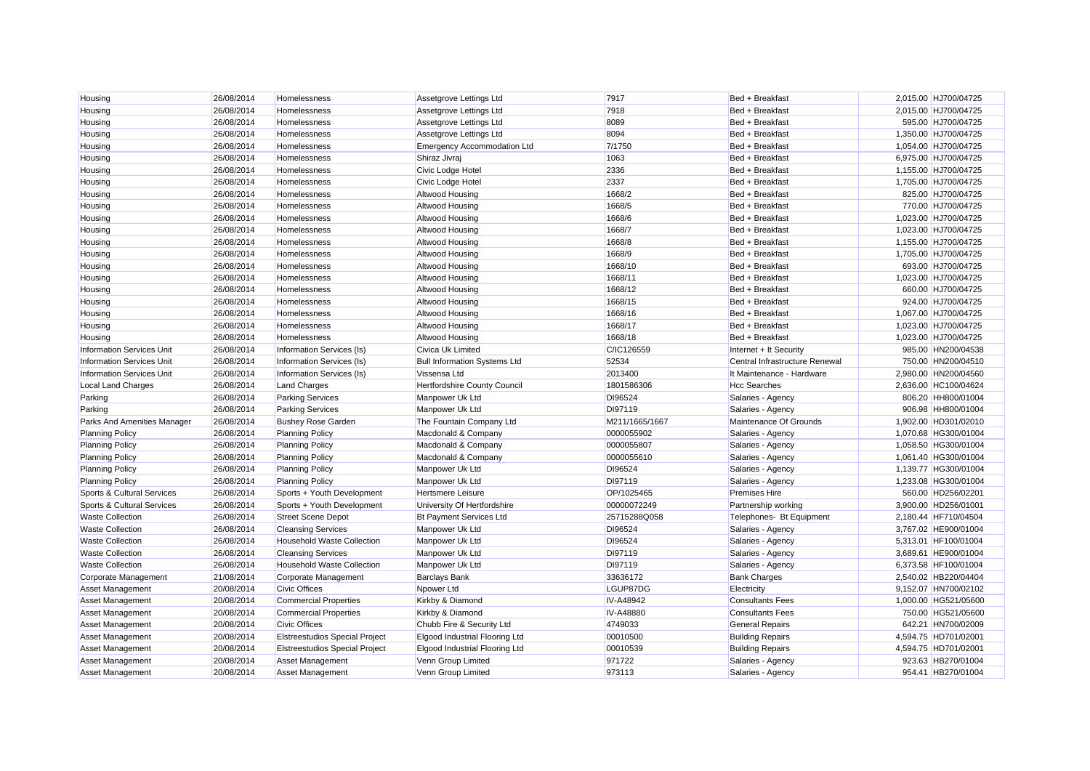| Housing                          | 26/08/2014 | Homelessness                          | Assetgrove Lettings Ltd               | 7917             | Bed + Breakfast                | 2,015.00 HJ700/04725 |
|----------------------------------|------------|---------------------------------------|---------------------------------------|------------------|--------------------------------|----------------------|
| Housing                          | 26/08/2014 | Homelessness                          | Assetgrove Lettings Ltd               | 7918             | Bed + Breakfast                | 2,015.00 HJ700/04725 |
| Housing                          | 26/08/2014 | Homelessness                          | Assetgrove Lettings Ltd               | 8089             | Bed + Breakfast                | 595.00 HJ700/04725   |
| Housing                          | 26/08/2014 | Homelessness                          | Assetgrove Lettings Ltd               | 8094             | Bed + Breakfast                | 1,350.00 HJ700/04725 |
| Housing                          | 26/08/2014 | Homelessness                          | <b>Emergency Accommodation Ltd</b>    | 7/1750           | Bed + Breakfast                | 1,054.00 HJ700/04725 |
| Housing                          | 26/08/2014 | Homelessness                          | Shiraz Jivraj                         | 1063             | Bed + Breakfast                | 6,975.00 HJ700/04725 |
| Housing                          | 26/08/2014 | Homelessness                          | Civic Lodge Hotel                     | 2336             | Bed + Breakfast                | 1.155.00 HJ700/04725 |
| Housing                          | 26/08/2014 | Homelessness                          | Civic Lodge Hotel                     | 2337             | Bed + Breakfast                | 1,705.00 HJ700/04725 |
| Housing                          | 26/08/2014 | Homelessness                          | Altwood Housing                       | 1668/2           | Bed + Breakfast                | 825.00 HJ700/04725   |
| Housing                          | 26/08/2014 | Homelessness                          | Altwood Housing                       | 1668/5           | Bed + Breakfast                | 770.00 HJ700/04725   |
| Housing                          | 26/08/2014 | Homelessness                          | <b>Altwood Housing</b>                | 1668/6           | Bed + Breakfast                | 1,023.00 HJ700/04725 |
| Housing                          | 26/08/2014 | Homelessness                          | <b>Altwood Housing</b>                | 1668/7           | Bed + Breakfast                | 1,023.00 HJ700/04725 |
| Housing                          | 26/08/2014 | Homelessness                          | Altwood Housing                       | 1668/8           | Bed + Breakfast                | 1,155.00 HJ700/04725 |
| Housing                          | 26/08/2014 | Homelessness                          | <b>Altwood Housing</b>                | 1668/9           | Bed + Breakfast                | 1,705.00 HJ700/04725 |
| Housing                          | 26/08/2014 | Homelessness                          | <b>Altwood Housing</b>                | 1668/10          | Bed + Breakfast                | 693.00 HJ700/04725   |
| Housing                          | 26/08/2014 | Homelessness                          | Altwood Housing                       | 1668/11          | Bed + Breakfast                | 1,023.00 HJ700/04725 |
| Housing                          | 26/08/2014 | Homelessness                          | <b>Altwood Housing</b>                | 1668/12          | Bed + Breakfast                | 660.00 HJ700/04725   |
| Housing                          | 26/08/2014 | Homelessness                          | <b>Altwood Housing</b>                | 1668/15          | Bed + Breakfast                | 924.00 HJ700/04725   |
| Housing                          | 26/08/2014 | Homelessness                          | <b>Altwood Housing</b>                | 1668/16          | Bed + Breakfast                | 1,067.00 HJ700/04725 |
| Housing                          | 26/08/2014 | Homelessness                          | <b>Altwood Housing</b>                | 1668/17          | Bed + Breakfast                | 1,023.00 HJ700/04725 |
| Housing                          | 26/08/2014 | Homelessness                          | <b>Altwood Housing</b>                | 1668/18          | Bed + Breakfast                | 1,023.00 HJ700/04725 |
| <b>Information Services Unit</b> | 26/08/2014 | Information Services (Is)             | Civica Uk Limited                     | C/IC126559       | Internet + It Security         | 985.00 HN200/04538   |
| <b>Information Services Unit</b> | 26/08/2014 | Information Services (Is)             | <b>Bull Information Systems Ltd</b>   | 52534            | Central Infrastructure Renewal | 750.00 HN200/04510   |
| <b>Information Services Unit</b> | 26/08/2014 | Information Services (Is)             | Vissensa Ltd                          | 2013400          | It Maintenance - Hardware      | 2,980.00 HN200/04560 |
| <b>Local Land Charges</b>        | 26/08/2014 | <b>Land Charges</b>                   | Hertfordshire County Council          | 1801586306       | <b>Hcc Searches</b>            | 2,636.00 HC100/04624 |
| Parking                          | 26/08/2014 | <b>Parking Services</b>               | Manpower Uk Ltd                       | DI96524          | Salaries - Agency              | 806.20 HH800/01004   |
| Parking                          | 26/08/2014 | <b>Parking Services</b>               | Manpower Uk Ltd                       | DI97119          | Salaries - Agency              | 906.98 HH800/01004   |
| Parks And Amenities Manager      | 26/08/2014 | <b>Bushey Rose Garden</b>             | The Fountain Company Ltd              | M211/1665/1667   | Maintenance Of Grounds         | 1.902.00 HD301/02010 |
| <b>Planning Policy</b>           | 26/08/2014 | <b>Planning Policy</b>                | Macdonald & Company                   | 0000055902       | Salaries - Agency              | 1,070.68 HG300/01004 |
| <b>Planning Policy</b>           | 26/08/2014 | <b>Planning Policy</b>                | Macdonald & Company                   | 0000055807       | Salaries - Agency              | 1,058.50 HG300/01004 |
| <b>Planning Policy</b>           | 26/08/2014 | <b>Planning Policy</b>                | Macdonald & Company                   | 0000055610       | Salaries - Agency              | 1,061.40 HG300/01004 |
| <b>Planning Policy</b>           | 26/08/2014 | <b>Planning Policy</b>                | Manpower Uk Ltd                       | DI96524          | Salaries - Agency              | 1,139.77 HG300/01004 |
| <b>Planning Policy</b>           | 26/08/2014 | <b>Planning Policy</b>                | Manpower Uk Ltd                       | DI97119          | Salaries - Agency              | 1,233.08 HG300/01004 |
| Sports & Cultural Services       | 26/08/2014 | Sports + Youth Development            | <b>Hertsmere Leisure</b>              | OP/1025465       | <b>Premises Hire</b>           | 560.00 HD256/02201   |
| Sports & Cultural Services       | 26/08/2014 | Sports + Youth Development            | University Of Hertfordshire           | 00000072249      | Partnership working            | 3,900.00 HD256/01001 |
| <b>Waste Collection</b>          | 26/08/2014 | <b>Street Scene Depot</b>             | <b>Bt Payment Services Ltd</b>        | 25715288Q058     | Telephones- Bt Equipment       | 2,180.44 HF710/04504 |
| <b>Waste Collection</b>          | 26/08/2014 | <b>Cleansing Services</b>             | Manpower Uk Ltd                       | DI96524          | Salaries - Agency              | 3,767.02 HE900/01004 |
| <b>Waste Collection</b>          | 26/08/2014 | <b>Household Waste Collection</b>     | Manpower Uk Ltd                       | DI96524          | Salaries - Agency              | 5,313.01 HF100/01004 |
| <b>Waste Collection</b>          | 26/08/2014 | <b>Cleansing Services</b>             | Manpower Uk Ltd                       | DI97119          | Salaries - Agency              | 3,689.61 HE900/01004 |
| <b>Waste Collection</b>          | 26/08/2014 | <b>Household Waste Collection</b>     | Manpower Uk Ltd                       | DI97119          | Salaries - Agency              | 6,373.58 HF100/01004 |
| Corporate Management             | 21/08/2014 | Corporate Management                  | <b>Barclays Bank</b>                  | 33636172         | <b>Bank Charges</b>            | 2,540.02 HB220/04404 |
| Asset Management                 | 20/08/2014 | <b>Civic Offices</b>                  | Npower Ltd                            | LGUP87DG         | Electricity                    | 9.152.07 HN700/02102 |
| Asset Management                 | 20/08/2014 | <b>Commercial Properties</b>          | Kirkby & Diamond                      | <b>IV-A48942</b> | <b>Consultants Fees</b>        | 1,000.00 HG521/05600 |
| Asset Management                 | 20/08/2014 | <b>Commercial Properties</b>          | Kirkby & Diamond                      | <b>IV-A48880</b> | <b>Consultants Fees</b>        | 750.00 HG521/05600   |
| Asset Management                 | 20/08/2014 | <b>Civic Offices</b>                  | Chubb Fire & Security Ltd             | 4749033          | <b>General Repairs</b>         | 642.21 HN700/02009   |
| Asset Management                 | 20/08/2014 | <b>Elstreestudios Special Project</b> | <b>Elgood Industrial Flooring Ltd</b> | 00010500         | <b>Building Repairs</b>        | 4,594.75 HD701/02001 |
| Asset Management                 | 20/08/2014 | <b>Elstreestudios Special Project</b> | Elgood Industrial Flooring Ltd        | 00010539         | <b>Building Repairs</b>        | 4,594.75 HD701/02001 |
| <b>Asset Management</b>          | 20/08/2014 | <b>Asset Management</b>               | Venn Group Limited                    | 971722           | Salaries - Agency              | 923.63 HB270/01004   |
| <b>Asset Management</b>          | 20/08/2014 | <b>Asset Management</b>               | Venn Group Limited                    | 973113           | Salaries - Agency              | 954.41 HB270/01004   |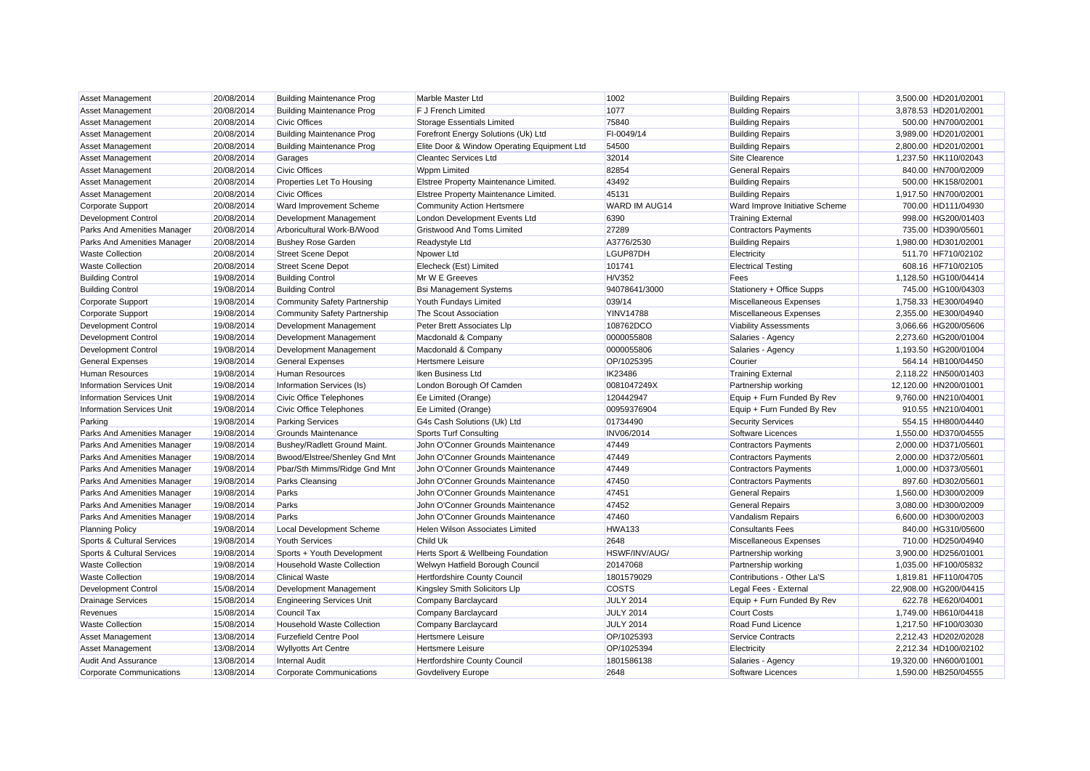| Asset Management                   | 20/08/2014 | <b>Building Maintenance Prog</b>    | Marble Master Ltd                           | 1002                 | <b>Building Repairs</b>        | 3,500.00 HD201/02001  |
|------------------------------------|------------|-------------------------------------|---------------------------------------------|----------------------|--------------------------------|-----------------------|
| <b>Asset Management</b>            | 20/08/2014 | <b>Building Maintenance Prog</b>    | F J French Limited                          | 1077                 | <b>Building Repairs</b>        | 3,878.53 HD201/02001  |
| <b>Asset Management</b>            | 20/08/2014 | <b>Civic Offices</b>                | <b>Storage Essentials Limited</b>           | 75840                | <b>Building Repairs</b>        | 500.00 HN700/02001    |
| <b>Asset Management</b>            | 20/08/2014 | <b>Building Maintenance Prog</b>    | Forefront Energy Solutions (Uk) Ltd         | FI-0049/14           | <b>Building Repairs</b>        | 3,989.00 HD201/02001  |
| Asset Management                   | 20/08/2014 | <b>Building Maintenance Prog</b>    | Elite Door & Window Operating Equipment Ltd | 54500                | <b>Building Repairs</b>        | 2,800.00 HD201/02001  |
| Asset Management                   | 20/08/2014 | Garages                             | <b>Cleantec Services Ltd</b>                | 32014                | Site Clearence                 | 1,237.50 HK110/02043  |
| <b>Asset Management</b>            | 20/08/2014 | <b>Civic Offices</b>                | <b>Wppm Limited</b>                         | 82854                | <b>General Repairs</b>         | 840.00 HN700/02009    |
| Asset Management                   | 20/08/2014 | Properties Let To Housing           | Elstree Property Maintenance Limited.       | 43492                | <b>Building Repairs</b>        | 500.00 HK158/02001    |
| <b>Asset Management</b>            | 20/08/2014 | <b>Civic Offices</b>                | Elstree Property Maintenance Limited.       | 45131                | <b>Building Repairs</b>        | 1,917.50 HN700/02001  |
| Corporate Support                  | 20/08/2014 | Ward Improvement Scheme             | <b>Community Action Hertsmere</b>           | <b>WARD IM AUG14</b> | Ward Improve Initiative Scheme | 700.00 HD111/04930    |
| Development Control                | 20/08/2014 | Development Management              | London Development Events Ltd               | 6390                 | <b>Training External</b>       | 998.00 HG200/01403    |
| Parks And Amenities Manager        | 20/08/2014 | Arboricultural Work-B/Wood          | Gristwood And Toms Limited                  | 27289                | <b>Contractors Payments</b>    | 735.00 HD390/05601    |
| Parks And Amenities Manager        | 20/08/2014 | <b>Bushey Rose Garden</b>           | Readystyle Ltd                              | A3776/2530           | <b>Building Repairs</b>        | 1,980.00 HD301/02001  |
| <b>Waste Collection</b>            | 20/08/2014 | <b>Street Scene Depot</b>           | Npower Ltd                                  | LGUP87DH             | Electricity                    | 511.70 HF710/02102    |
| <b>Waste Collection</b>            | 20/08/2014 | <b>Street Scene Depot</b>           | Elecheck (Est) Limited                      | 101741               | <b>Electrical Testing</b>      | 608.16 HF710/02105    |
| <b>Building Control</b>            | 19/08/2014 | <b>Building Control</b>             | Mr W E Greeves                              | H/V352               | Fees                           | 1,128.50 HG100/04414  |
| <b>Building Control</b>            | 19/08/2014 | <b>Building Control</b>             | <b>Bsi Management Systems</b>               | 94078641/3000        | Stationery + Office Supps      | 745.00 HG100/04303    |
| <b>Corporate Support</b>           | 19/08/2014 | <b>Community Safety Partnership</b> | Youth Fundays Limited                       | 039/14               | Miscellaneous Expenses         | 1.758.33 HE300/04940  |
| Corporate Support                  | 19/08/2014 | <b>Community Safety Partnership</b> | The Scout Association                       | <b>YINV14788</b>     | Miscellaneous Expenses         | 2,355.00 HE300/04940  |
| Development Control                | 19/08/2014 | Development Management              | Peter Brett Associates Llp                  | 108762DCO            | <b>Viability Assessments</b>   | 3,066.66 HG200/05606  |
| Development Control                | 19/08/2014 | Development Management              | Macdonald & Company                         | 0000055808           | Salaries - Agency              | 2,273.60 HG200/01004  |
| <b>Development Control</b>         | 19/08/2014 | Development Management              | Macdonald & Company                         | 0000055806           | Salaries - Agency              | 1,193.50 HG200/01004  |
| <b>General Expenses</b>            | 19/08/2014 | <b>General Expenses</b>             | <b>Hertsmere Leisure</b>                    | OP/1025395           | Courier                        | 564.14 HB100/04450    |
| <b>Human Resources</b>             | 19/08/2014 | <b>Human Resources</b>              | Iken Business Ltd                           | <b>IK23486</b>       | <b>Training External</b>       | 2,118.22 HN500/01403  |
| <b>Information Services Unit</b>   | 19/08/2014 | Information Services (Is)           | London Borough Of Camden                    | 0081047249X          | Partnership working            | 12,120.00 HN200/01001 |
| <b>Information Services Unit</b>   | 19/08/2014 | <b>Civic Office Telephones</b>      | Ee Limited (Orange)                         | 120442947            | Equip + Furn Funded By Rev     | 9,760.00 HN210/04001  |
| <b>Information Services Unit</b>   | 19/08/2014 | <b>Civic Office Telephones</b>      | Ee Limited (Orange)                         | 00959376904          | Equip + Furn Funded By Rev     | 910.55 HN210/04001    |
| Parking                            | 19/08/2014 | <b>Parking Services</b>             | G4s Cash Solutions (Uk) Ltd                 | 01734490             | <b>Security Services</b>       | 554.15 HH800/04440    |
| Parks And Amenities Manager        | 19/08/2014 | Grounds Maintenance                 | <b>Sports Turf Consulting</b>               | <b>INV06/2014</b>    | Software Licences              | 1,550.00 HD370/04555  |
| Parks And Amenities Manager        | 19/08/2014 | Bushey/Radlett Ground Maint.        | John O'Conner Grounds Maintenance           | 47449                | <b>Contractors Payments</b>    | 2,000.00 HD371/05601  |
| Parks And Amenities Manager        | 19/08/2014 | Bwood/Elstree/Shenley Gnd Mnt       | John O'Conner Grounds Maintenance           | 47449                | <b>Contractors Payments</b>    | 2,000.00 HD372/05601  |
| Parks And Amenities Manager        | 19/08/2014 | Pbar/Sth Mimms/Ridge Gnd Mnt        | John O'Conner Grounds Maintenance           | 47449                | <b>Contractors Payments</b>    | 1,000.00 HD373/05601  |
| Parks And Amenities Manager        | 19/08/2014 | Parks Cleansing                     | John O'Conner Grounds Maintenance           | 47450                | <b>Contractors Payments</b>    | 897.60 HD302/05601    |
| Parks And Amenities Manager        | 19/08/2014 | Parks                               | John O'Conner Grounds Maintenance           | 47451                | <b>General Repairs</b>         | 1,560.00 HD300/02009  |
| <b>Parks And Amenities Manager</b> | 19/08/2014 | Parks                               | John O'Conner Grounds Maintenance           | 47452                | <b>General Repairs</b>         | 3,080.00 HD300/02009  |
| Parks And Amenities Manager        | 19/08/2014 | Parks                               | John O'Conner Grounds Maintenance           | 47460                | Vandalism Repairs              | 6,600.00 HD300/02003  |
| <b>Planning Policy</b>             | 19/08/2014 | Local Development Scheme            | Helen Wilson Associates Limited             | <b>HWA133</b>        | <b>Consultants Fees</b>        | 840.00 HG310/05600    |
| Sports & Cultural Services         | 19/08/2014 | <b>Youth Services</b>               | <b>Child Uk</b>                             | 2648                 | Miscellaneous Expenses         | 710.00 HD250/04940    |
| Sports & Cultural Services         | 19/08/2014 | Sports + Youth Development          | Herts Sport & Wellbeing Foundation          | HSWF/INV/AUG/        | Partnership working            | 3,900.00 HD256/01001  |
| <b>Waste Collection</b>            | 19/08/2014 | <b>Household Waste Collection</b>   | Welwyn Hatfield Borough Council             | 20147068             | Partnership working            | 1,035.00 HF100/05832  |
| <b>Waste Collection</b>            | 19/08/2014 | <b>Clinical Waste</b>               | Hertfordshire County Council                | 1801579029           | Contributions - Other La'S     | 1.819.81 HF110/04705  |
| Development Control                | 15/08/2014 | Development Management              | Kingsley Smith Solicitors Llp               | COSTS                | Legal Fees - External          | 22,908.00 HG200/04415 |
| <b>Drainage Services</b>           | 15/08/2014 | <b>Engineering Services Unit</b>    | Company Barclaycard                         | <b>JULY 2014</b>     | Equip + Furn Funded By Rev     | 622.78 HE620/04001    |
| Revenues                           | 15/08/2014 | <b>Council Tax</b>                  | Company Barclaycard                         | <b>JULY 2014</b>     | <b>Court Costs</b>             | 1,749.00 HB610/04418  |
| <b>Waste Collection</b>            | 15/08/2014 | <b>Household Waste Collection</b>   | Company Barclaycard                         | <b>JULY 2014</b>     | <b>Road Fund Licence</b>       | 1,217.50 HF100/03030  |
| <b>Asset Management</b>            | 13/08/2014 | <b>Furzefield Centre Pool</b>       | <b>Hertsmere Leisure</b>                    | OP/1025393           | Service Contracts              | 2,212.43 HD202/02028  |
| Asset Management                   | 13/08/2014 | <b>Wyllyotts Art Centre</b>         | <b>Hertsmere Leisure</b>                    | OP/1025394           | Electricity                    | 2,212.34 HD100/02102  |
| <b>Audit And Assurance</b>         | 13/08/2014 | <b>Internal Audit</b>               | <b>Hertfordshire County Council</b>         | 1801586138           | Salaries - Agency              | 19.320.00 HN600/01001 |
| <b>Corporate Communications</b>    | 13/08/2014 | Corporate Communications            | Govdelivery Europe                          | 2648                 | Software Licences              | 1.590.00 HB250/04555  |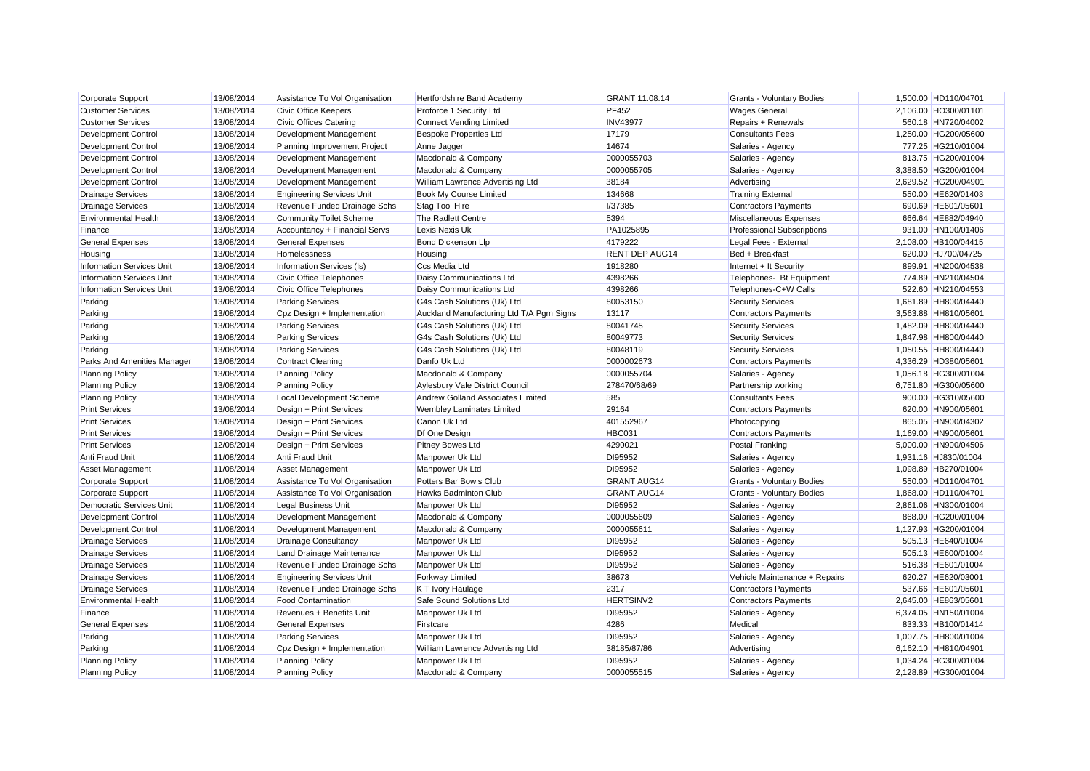| Corporate Support                | 13/08/2014 | Assistance To Vol Organisation   | Hertfordshire Band Academy               | GRANT 11.08.14        | <b>Grants - Voluntary Bodies</b>  | 1,500.00 HD110/04701 |
|----------------------------------|------------|----------------------------------|------------------------------------------|-----------------------|-----------------------------------|----------------------|
| <b>Customer Services</b>         | 13/08/2014 | <b>Civic Office Keepers</b>      | Proforce 1 Security Ltd                  | <b>PF452</b>          | <b>Wages General</b>              | 2,106.00 HO300/01101 |
| <b>Customer Services</b>         | 13/08/2014 | Civic Offices Catering           | <b>Connect Vending Limited</b>           | <b>INV43977</b>       | Repairs + Renewals                | 560.18 HN720/04002   |
| Development Control              | 13/08/2014 | Development Management           | <b>Bespoke Properties Ltd</b>            | 17179                 | <b>Consultants Fees</b>           | 1,250.00 HG200/05600 |
| <b>Development Control</b>       | 13/08/2014 | Planning Improvement Project     | Anne Jagger                              | 14674                 | Salaries - Agency                 | 777.25 HG210/01004   |
| <b>Development Control</b>       | 13/08/2014 | Development Management           | Macdonald & Company                      | 0000055703            | Salaries - Agency                 | 813.75 HG200/01004   |
| <b>Development Control</b>       | 13/08/2014 | Development Management           | Macdonald & Company                      | 0000055705            | Salaries - Agency                 | 3,388.50 HG200/01004 |
| <b>Development Control</b>       | 13/08/2014 | Development Management           | William Lawrence Advertising Ltd         | 38184                 | Advertising                       | 2,629.52 HG200/04901 |
| <b>Drainage Services</b>         | 13/08/2014 | <b>Engineering Services Unit</b> | Book My Course Limited                   | 134668                | <b>Training External</b>          | 550.00 HE620/01403   |
| <b>Drainage Services</b>         | 13/08/2014 | Revenue Funded Drainage Schs     | <b>Stag Tool Hire</b>                    | <b>I/37385</b>        | Contractors Payments              | 690.69 HE601/05601   |
| <b>Environmental Health</b>      | 13/08/2014 | <b>Community Toilet Scheme</b>   | The Radlett Centre                       | 5394                  | Miscellaneous Expenses            | 666.64 HE882/04940   |
| Finance                          | 13/08/2014 | Accountancy + Financial Servs    | <b>Lexis Nexis Uk</b>                    | PA1025895             | <b>Professional Subscriptions</b> | 931.00 HN100/01406   |
| <b>General Expenses</b>          | 13/08/2014 | <b>General Expenses</b>          | Bond Dickenson Llp                       | 4179222               | Legal Fees - External             | 2,108.00 HB100/04415 |
| Housing                          | 13/08/2014 | Homelessness                     | Housing                                  | <b>RENT DEP AUG14</b> | Bed + Breakfast                   | 620.00 HJ700/04725   |
| <b>Information Services Unit</b> | 13/08/2014 | Information Services (Is)        | Ccs Media Ltd                            | 1918280               | Internet + It Security            | 899.91 HN200/04538   |
| <b>Information Services Unit</b> | 13/08/2014 | Civic Office Telephones          | Daisy Communications Ltd                 | 4398266               | Telephones- Bt Equipment          | 774.89 HN210/04504   |
| <b>Information Services Unit</b> | 13/08/2014 | Civic Office Telephones          | Daisy Communications Ltd                 | 4398266               | Telephones-C+W Calls              | 522.60 HN210/04553   |
| Parking                          | 13/08/2014 | <b>Parking Services</b>          | G4s Cash Solutions (Uk) Ltd              | 80053150              | <b>Security Services</b>          | 1,681.89 HH800/04440 |
| Parking                          | 13/08/2014 | Cpz Design + Implementation      | Auckland Manufacturing Ltd T/A Pgm Signs | 13117                 | <b>Contractors Payments</b>       | 3,563.88 HH810/05601 |
| Parking                          | 13/08/2014 | <b>Parking Services</b>          | G4s Cash Solutions (Uk) Ltd              | 80041745              | <b>Security Services</b>          | 1,482.09 HH800/04440 |
| Parking                          | 13/08/2014 | <b>Parking Services</b>          | G4s Cash Solutions (Uk) Ltd              | 80049773              | <b>Security Services</b>          | 1,847.98 HH800/04440 |
| Parking                          | 13/08/2014 | <b>Parking Services</b>          | G4s Cash Solutions (Uk) Ltd              | 80048119              | <b>Security Services</b>          | 1,050.55 HH800/04440 |
| Parks And Amenities Manager      | 13/08/2014 | <b>Contract Cleaning</b>         | Danfo Uk Ltd                             | 0000002673            | <b>Contractors Payments</b>       | 4,336.29 HD380/05601 |
| <b>Planning Policy</b>           | 13/08/2014 | <b>Planning Policy</b>           | Macdonald & Company                      | 0000055704            | Salaries - Agency                 | 1,056.18 HG300/01004 |
| <b>Planning Policy</b>           | 13/08/2014 | <b>Planning Policy</b>           | Aylesbury Vale District Council          | 278470/68/69          | Partnership working               | 6,751.80 HG300/05600 |
| <b>Planning Policy</b>           | 13/08/2014 | <b>Local Development Scheme</b>  | Andrew Golland Associates Limited        | 585                   | <b>Consultants Fees</b>           | 900.00 HG310/05600   |
| <b>Print Services</b>            | 13/08/2014 | Design + Print Services          | Wembley Laminates Limited                | 29164                 | <b>Contractors Payments</b>       | 620.00 HN900/05601   |
| <b>Print Services</b>            | 13/08/2014 | Design + Print Services          | Canon Uk Ltd                             | 401552967             | Photocopying                      | 865.05 HN900/04302   |
| <b>Print Services</b>            | 13/08/2014 | Design + Print Services          | Df One Design                            | <b>HBC031</b>         | <b>Contractors Payments</b>       | 1,169.00 HN900/05601 |
| <b>Print Services</b>            | 12/08/2014 | Design + Print Services          | <b>Pitney Bowes Ltd</b>                  | 4290021               | Postal Franking                   | 5.000.00 HN900/04506 |
| Anti Fraud Unit                  | 11/08/2014 | Anti Fraud Unit                  | Manpower Uk Ltd                          | DI95952               | Salaries - Agency                 | 1,931.16 HJ830/01004 |
| <b>Asset Management</b>          | 11/08/2014 | <b>Asset Management</b>          | Manpower Uk Ltd                          | DI95952               | Salaries - Agency                 | 1,098.89 HB270/01004 |
| Corporate Support                | 11/08/2014 | Assistance To Vol Organisation   | Potters Bar Bowls Club                   | <b>GRANT AUG14</b>    | Grants - Voluntary Bodies         | 550.00 HD110/04701   |
| <b>Corporate Support</b>         | 11/08/2014 | Assistance To Vol Organisation   | <b>Hawks Badminton Club</b>              | <b>GRANT AUG14</b>    | <b>Grants - Voluntary Bodies</b>  | 1,868.00 HD110/04701 |
| Democratic Services Unit         | 11/08/2014 | <b>Legal Business Unit</b>       | Manpower Uk Ltd                          | DI95952               | Salaries - Agency                 | 2,861.06 HN300/01004 |
| <b>Development Control</b>       | 11/08/2014 | Development Management           | Macdonald & Company                      | 0000055609            | Salaries - Agency                 | 868.00 HG200/01004   |
| <b>Development Control</b>       | 11/08/2014 | Development Management           | Macdonald & Company                      | 0000055611            | Salaries - Agency                 | 1,127.93 HG200/01004 |
| <b>Drainage Services</b>         | 11/08/2014 | <b>Drainage Consultancy</b>      | Manpower Uk Ltd                          | DI95952               | Salaries - Agency                 | 505.13 HE640/01004   |
| <b>Drainage Services</b>         | 11/08/2014 | Land Drainage Maintenance        | Manpower Uk Ltd                          | DI95952               | Salaries - Agency                 | 505.13 HE600/01004   |
| <b>Drainage Services</b>         | 11/08/2014 | Revenue Funded Drainage Schs     | Manpower Uk Ltd                          | DI95952               | Salaries - Agency                 | 516.38 HE601/01004   |
| <b>Drainage Services</b>         | 11/08/2014 | <b>Engineering Services Unit</b> | <b>Forkway Limited</b>                   | 38673                 | Vehicle Maintenance + Repairs     | 620.27 HE620/03001   |
| <b>Drainage Services</b>         | 11/08/2014 | Revenue Funded Drainage Schs     | K T Ivory Haulage                        | 2317                  | <b>Contractors Payments</b>       | 537.66 HE601/05601   |
| <b>Environmental Health</b>      | 11/08/2014 | <b>Food Contamination</b>        | Safe Sound Solutions Ltd                 | HERTSINV2             | <b>Contractors Payments</b>       | 2,645.00 HE863/05601 |
| Finance                          | 11/08/2014 | Revenues + Benefits Unit         | Manpower Uk Ltd                          | DI95952               | Salaries - Agency                 | 6,374.05 HN150/01004 |
| <b>General Expenses</b>          | 11/08/2014 | <b>General Expenses</b>          | Firstcare                                | 4286                  | Medical                           | 833.33 HB100/01414   |
| Parking                          | 11/08/2014 | <b>Parking Services</b>          | Manpower Uk Ltd                          | DI95952               | Salaries - Agency                 | 1,007.75 HH800/01004 |
| Parking                          | 11/08/2014 | Cpz Design + Implementation      | William Lawrence Advertising Ltd         | 38185/87/86           | Advertising                       | 6,162.10 HH810/04901 |
| <b>Planning Policy</b>           | 11/08/2014 | <b>Planning Policy</b>           | Manpower Uk Ltd                          | DI95952               | Salaries - Agency                 | 1,034.24 HG300/01004 |
| <b>Planning Policy</b>           | 11/08/2014 | <b>Planning Policy</b>           | Macdonald & Company                      | 0000055515            | Salaries - Agency                 | 2.128.89 HG300/01004 |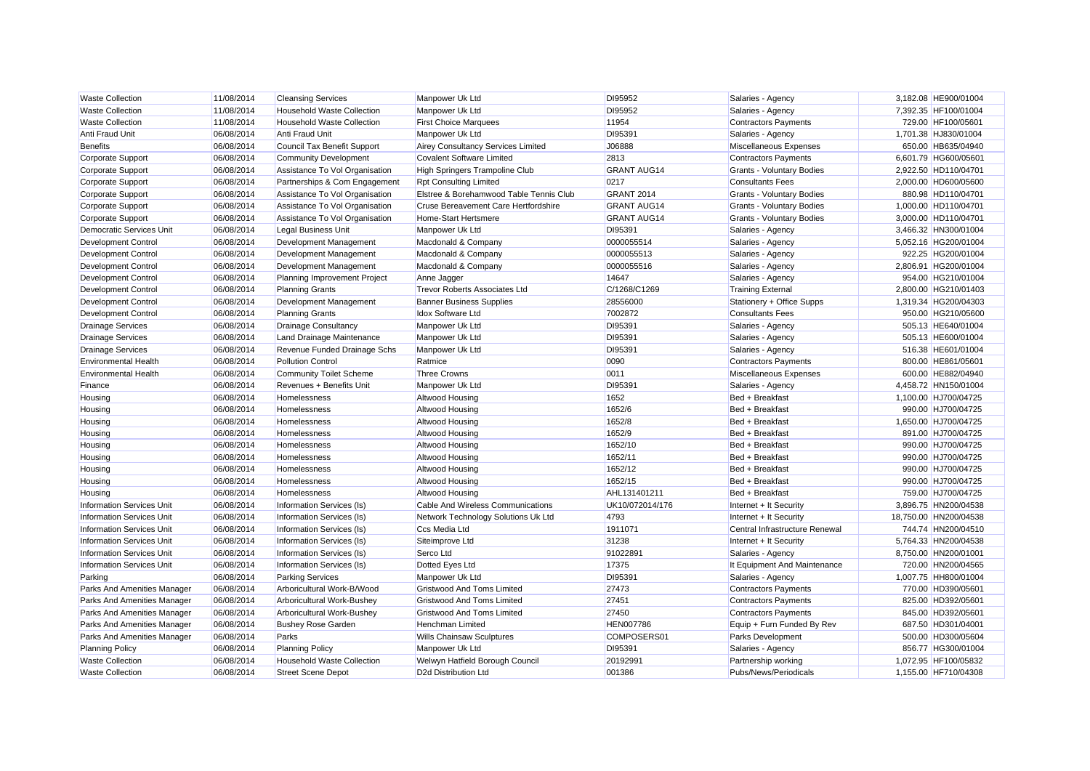| <b>Waste Collection</b>          | 11/08/2014 | <b>Cleansing Services</b>         | Manpower Uk Ltd                         | DI95952            | Salaries - Agency                | 3,182.08 HE900/01004  |
|----------------------------------|------------|-----------------------------------|-----------------------------------------|--------------------|----------------------------------|-----------------------|
| <b>Waste Collection</b>          | 11/08/2014 | <b>Household Waste Collection</b> | Manpower Uk Ltd                         | DI95952            | Salaries - Agency                | 7,392.35 HF100/01004  |
| <b>Waste Collection</b>          | 11/08/2014 | Household Waste Collection        | <b>First Choice Marquees</b>            | 11954              | <b>Contractors Payments</b>      | 729.00 HF100/05601    |
| Anti Fraud Unit                  | 06/08/2014 | Anti Fraud Unit                   | Manpower Uk Ltd                         | DI95391            | Salaries - Agency                | 1,701.38 HJ830/01004  |
| <b>Benefits</b>                  | 06/08/2014 | Council Tax Benefit Support       | Airey Consultancy Services Limited      | J06888             | Miscellaneous Expenses           | 650.00 HB635/04940    |
| <b>Corporate Support</b>         | 06/08/2014 | <b>Community Development</b>      | <b>Covalent Software Limited</b>        | 2813               | <b>Contractors Payments</b>      | 6,601.79 HG600/05601  |
| Corporate Support                | 06/08/2014 | Assistance To Vol Organisation    | High Springers Trampoline Club          | <b>GRANT AUG14</b> | <b>Grants - Voluntary Bodies</b> | 2.922.50 HD110/04701  |
| Corporate Support                | 06/08/2014 | Partnerships & Com Engagement     | <b>Rpt Consulting Limited</b>           | 0217               | <b>Consultants Fees</b>          | 2,000.00 HD600/05600  |
| Corporate Support                | 06/08/2014 | Assistance To Vol Organisation    | Elstree & Borehamwood Table Tennis Club | GRANT 2014         | Grants - Voluntary Bodies        | 880.98 HD110/04701    |
| Corporate Support                | 06/08/2014 | Assistance To Vol Organisation    | Cruse Bereavement Care Hertfordshire    | <b>GRANT AUG14</b> | Grants - Voluntary Bodies        | 1,000.00 HD110/04701  |
| Corporate Support                | 06/08/2014 | Assistance To Vol Organisation    | Home-Start Hertsmere                    | <b>GRANT AUG14</b> | <b>Grants - Voluntary Bodies</b> | 3,000.00 HD110/04701  |
| Democratic Services Unit         | 06/08/2014 | Legal Business Unit               | Manpower Uk Ltd                         | DI95391            | Salaries - Agency                | 3,466.32 HN300/01004  |
| <b>Development Control</b>       | 06/08/2014 | Development Management            | Macdonald & Company                     | 0000055514         | Salaries - Agency                | 5,052.16 HG200/01004  |
| <b>Development Control</b>       | 06/08/2014 | Development Management            | Macdonald & Company                     | 0000055513         | Salaries - Agency                | 922.25 HG200/01004    |
| <b>Development Control</b>       | 06/08/2014 | Development Management            | Macdonald & Company                     | 0000055516         | Salaries - Agency                | 2,806.91 HG200/01004  |
| Development Control              | 06/08/2014 | Planning Improvement Project      | Anne Jagger                             | 14647              | Salaries - Agency                | 954.00 HG210/01004    |
| <b>Development Control</b>       | 06/08/2014 | <b>Planning Grants</b>            | <b>Trevor Roberts Associates Ltd</b>    | C/1268/C1269       | <b>Training External</b>         | 2,800.00 HG210/01403  |
| <b>Development Control</b>       | 06/08/2014 | Development Management            | <b>Banner Business Supplies</b>         | 28556000           | Stationery + Office Supps        | 1,319.34 HG200/04303  |
| Development Control              | 06/08/2014 | <b>Planning Grants</b>            | Idox Software Ltd                       | 7002872            | <b>Consultants Fees</b>          | 950.00 HG210/05600    |
| <b>Drainage Services</b>         | 06/08/2014 | Drainage Consultancy              | Manpower Uk Ltd                         | DI95391            | Salaries - Agency                | 505.13 HE640/01004    |
| <b>Drainage Services</b>         | 06/08/2014 | Land Drainage Maintenance         | Manpower Uk Ltd                         | DI95391            | Salaries - Agency                | 505.13 HE600/01004    |
| <b>Drainage Services</b>         | 06/08/2014 | Revenue Funded Drainage Schs      | Manpower Uk Ltd                         | DI95391            | Salaries - Agency                | 516.38 HE601/01004    |
| <b>Environmental Health</b>      | 06/08/2014 | <b>Pollution Control</b>          | Ratmice                                 | 0090               | <b>Contractors Payments</b>      | 800.00 HE861/05601    |
| <b>Environmental Health</b>      | 06/08/2014 | Community Toilet Scheme           | <b>Three Crowns</b>                     | 0011               | Miscellaneous Expenses           | 600.00 HE882/04940    |
| Finance                          | 06/08/2014 | Revenues + Benefits Unit          | Manpower Uk Ltd                         | DI95391            | Salaries - Agency                | 4,458.72 HN150/01004  |
| Housing                          | 06/08/2014 | Homelessness                      | Altwood Housing                         | 1652               | Bed + Breakfast                  | 1,100.00 HJ700/04725  |
| Housing                          | 06/08/2014 | Homelessness                      | Altwood Housing                         | 1652/6             | Bed + Breakfast                  | 990.00 HJ700/04725    |
| Housing                          | 06/08/2014 | Homelessness                      | Altwood Housing                         | 1652/8             | Bed + Breakfast                  | 1,650.00 HJ700/04725  |
| Housing                          | 06/08/2014 | Homelessness                      | Altwood Housing                         | 1652/9             | Bed + Breakfast                  | 891.00 HJ700/04725    |
| Housing                          | 06/08/2014 | Homelessness                      | Altwood Housing                         | 1652/10            | Bed + Breakfast                  | 990.00 HJ700/04725    |
| Housing                          | 06/08/2014 | Homelessness                      | Altwood Housing                         | 1652/11            | Bed + Breakfast                  | 990.00 HJ700/04725    |
| Housing                          | 06/08/2014 | Homelessness                      | Altwood Housing                         | 1652/12            | Bed + Breakfast                  | 990.00 HJ700/04725    |
| Housing                          | 06/08/2014 | Homelessness                      | Altwood Housing                         | 1652/15            | Bed + Breakfast                  | 990.00 HJ700/04725    |
| Housing                          | 06/08/2014 | Homelessness                      | Altwood Housing                         | AHL131401211       | Bed + Breakfast                  | 759.00 HJ700/04725    |
| <b>Information Services Unit</b> | 06/08/2014 | Information Services (Is)         | Cable And Wireless Communications       | UK10/072014/176    | Internet + It Security           | 3,896.75 HN200/04538  |
| <b>Information Services Unit</b> | 06/08/2014 | Information Services (Is)         | Network Technology Solutions Uk Ltd     | 4793               | Internet + It Security           | 18,750.00 HN200/04538 |
| <b>Information Services Unit</b> | 06/08/2014 | Information Services (Is)         | Ccs Media Ltd                           | 1911071            | Central Infrastructure Renewal   | 744.74 HN200/04510    |
| <b>Information Services Unit</b> | 06/08/2014 | Information Services (Is)         | Siteimprove Ltd                         | 31238              | Internet + It Security           | 5,764.33 HN200/04538  |
| <b>Information Services Unit</b> | 06/08/2014 | Information Services (Is)         | Serco Ltd                               | 91022891           | Salaries - Agency                | 8,750.00 HN200/01001  |
| <b>Information Services Unit</b> | 06/08/2014 | Information Services (Is)         | Dotted Eyes Ltd                         | 17375              | It Equipment And Maintenance     | 720.00 HN200/04565    |
| Parking                          | 06/08/2014 | <b>Parking Services</b>           | Manpower Uk Ltd                         | DI95391            | Salaries - Agency                | 1,007.75 HH800/01004  |
| Parks And Amenities Manager      | 06/08/2014 | Arboricultural Work-B/Wood        | <b>Gristwood And Toms Limited</b>       | 27473              | <b>Contractors Payments</b>      | 770.00 HD390/05601    |
| Parks And Amenities Manager      | 06/08/2014 | Arboricultural Work-Bushey        | <b>Gristwood And Toms Limited</b>       | 27451              | <b>Contractors Payments</b>      | 825.00 HD392/05601    |
| Parks And Amenities Manager      | 06/08/2014 | Arboricultural Work-Bushey        | Gristwood And Toms Limited              | 27450              | <b>Contractors Payments</b>      | 845.00 HD392/05601    |
| Parks And Amenities Manager      | 06/08/2014 | <b>Bushey Rose Garden</b>         | Henchman Limited                        | <b>HEN007786</b>   | Equip + Furn Funded By Rev       | 687.50 HD301/04001    |
| Parks And Amenities Manager      | 06/08/2014 | Parks                             | Wills Chainsaw Sculptures               | COMPOSERS01        | Parks Development                | 500.00 HD300/05604    |
| <b>Planning Policy</b>           | 06/08/2014 | <b>Planning Policy</b>            | Manpower Uk Ltd                         | DI95391            | Salaries - Agency                | 856.77 HG300/01004    |
| <b>Waste Collection</b>          | 06/08/2014 | <b>Household Waste Collection</b> | Welwyn Hatfield Borough Council         | 2019299            | Partnership working              | 1.072.95 HF100/05832  |
| <b>Waste Collection</b>          | 06/08/2014 | <b>Street Scene Depot</b>         | D2d Distribution Ltd                    | 001386             | Pubs/News/Periodicals            | 1.155.00 HF710/04308  |
|                                  |            |                                   |                                         |                    |                                  |                       |